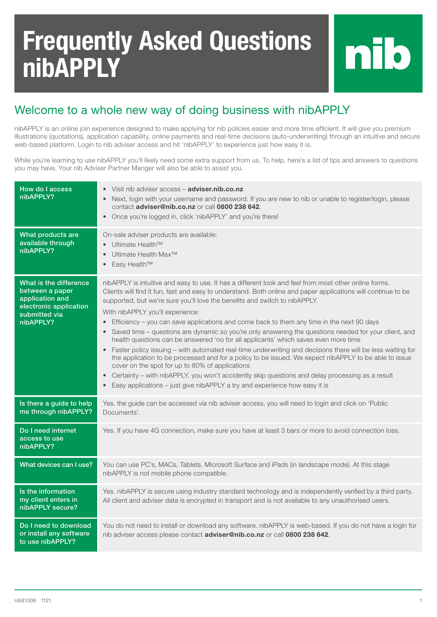## Frequently Asked Questions nibAPPLY

## Welcome to a whole new way of doing business with nibAPPLY

nibAPPLY is an online join experience designed to make applying for nib policies easier and more time efficient. It will give you premium illustrations (quotations), application capability, online payments and real-time decisions (auto-underwriting) through an intuitive and secure web-based platform. Login to nib adviser access and hit 'nibAPPLY' to experience just how easy it is.

While you're learning to use nibAPPLY you'll likely need some extra support from us. To help, here's a list of tips and answers to questions you may have. Your nib Adviser Partner Manger will also be able to assist you.

| How do I access<br>nibAPPLY?                                                                                         | Visit nib adviser access - adviser.nib.co.nz<br>$\bullet$<br>Next, login with your username and password. If you are new to nib or unable to register/login, please<br>$\bullet$<br>contact adviser@nib.co.nz or call 0800 238 642.<br>Once you're logged in, click 'nibAPPLY' and you're there!<br>$\bullet$                                                                                                                                                                                                                                                                                                                                                                                                                                                                                                                                                                                                                                                                                                                                                                                                                                        |
|----------------------------------------------------------------------------------------------------------------------|------------------------------------------------------------------------------------------------------------------------------------------------------------------------------------------------------------------------------------------------------------------------------------------------------------------------------------------------------------------------------------------------------------------------------------------------------------------------------------------------------------------------------------------------------------------------------------------------------------------------------------------------------------------------------------------------------------------------------------------------------------------------------------------------------------------------------------------------------------------------------------------------------------------------------------------------------------------------------------------------------------------------------------------------------------------------------------------------------------------------------------------------------|
| What products are<br>available through<br>nibAPPLY?                                                                  | On-sale adviser products are available:<br>Ultimate Health <sup>™</sup><br>$\bullet$<br>Ultimate Health Max <sup>™</sup><br>$\bullet$<br>Easy Health <sup>™</sup><br>$\bullet$                                                                                                                                                                                                                                                                                                                                                                                                                                                                                                                                                                                                                                                                                                                                                                                                                                                                                                                                                                       |
| What is the difference<br>between a paper<br>application and<br>electronic application<br>submitted via<br>nibAPPLY? | nibAPPLY is intuitive and easy to use. It has a different look and feel from most other online forms.<br>Clients will find it fun, fast and easy to understand. Both online and paper applications will continue to be<br>supported, but we're sure you'll love the benefits and switch to nibAPPLY.<br>With nibAPPLY you'll experience:<br>Efficiency - you can save applications and come back to them any time in the next 90 days<br>$\bullet$<br>Saved time – questions are dynamic so you're only answering the questions needed for your client, and<br>$\bullet$<br>health questions can be answered 'no for all applicants' which saves even more time<br>Faster policy issuing - with automated real-time underwriting and decisions there will be less waiting for<br>the application to be processed and for a policy to be issued. We expect nibAPPLY to be able to issue<br>cover on the spot for up to 80% of applications<br>Certainty – with nibAPPLY, you won't accidently skip questions and delay processing as a result<br>$\bullet$<br>Easy applications - just give nibAPPLY a try and experience how easy it is<br>$\bullet$ |
| Is there a guide to help<br>me through nibAPPLY?                                                                     | Yes, the guide can be accessed via nib adviser access, you will need to login and click on 'Public<br>Documents'.                                                                                                                                                                                                                                                                                                                                                                                                                                                                                                                                                                                                                                                                                                                                                                                                                                                                                                                                                                                                                                    |
| Do I need internet<br>access to use<br>nibAPPLY?                                                                     | Yes. If you have 4G connection, make sure you have at least 3 bars or more to avoid connection loss.                                                                                                                                                                                                                                                                                                                                                                                                                                                                                                                                                                                                                                                                                                                                                                                                                                                                                                                                                                                                                                                 |
| What devices can I use?                                                                                              | You can use PC's, MACs, Tablets, Microsoft Surface and iPads (in landscape mode). At this stage<br>nibAPPLY is not mobile phone compatible.                                                                                                                                                                                                                                                                                                                                                                                                                                                                                                                                                                                                                                                                                                                                                                                                                                                                                                                                                                                                          |
| Is the information<br>my client enters in<br>nibAPPLY secure?                                                        | Yes. nibAPPLY is secure using industry standard technology and is independently verified by a third party.<br>All client and adviser data is encrypted in transport and is not available to any unauthorised users.                                                                                                                                                                                                                                                                                                                                                                                                                                                                                                                                                                                                                                                                                                                                                                                                                                                                                                                                  |
| Do I need to download<br>or install any software<br>to use nibAPPLY?                                                 | You do not need to install or download any software. nibAPPLY is web-based. If you do not have a login for<br>nib adviser access please contact adviser@nib.co.nz or call 0800 238 642.                                                                                                                                                                                                                                                                                                                                                                                                                                                                                                                                                                                                                                                                                                                                                                                                                                                                                                                                                              |

nib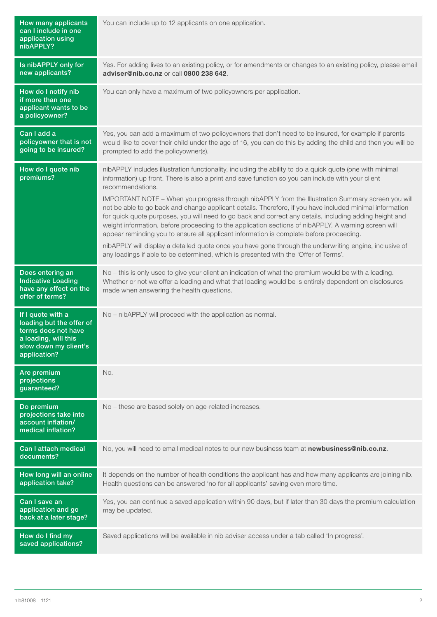| How many applicants<br>can I include in one<br>application using<br>nibAPPLY?                                                         | You can include up to 12 applicants on one application.                                                                                                                                                                                                                                                                                                                                                                                                                                                                                                                                                                                                                                                                                                                                                                                                                                                                                                               |
|---------------------------------------------------------------------------------------------------------------------------------------|-----------------------------------------------------------------------------------------------------------------------------------------------------------------------------------------------------------------------------------------------------------------------------------------------------------------------------------------------------------------------------------------------------------------------------------------------------------------------------------------------------------------------------------------------------------------------------------------------------------------------------------------------------------------------------------------------------------------------------------------------------------------------------------------------------------------------------------------------------------------------------------------------------------------------------------------------------------------------|
| Is nibAPPLY only for<br>new applicants?                                                                                               | Yes. For adding lives to an existing policy, or for amendments or changes to an existing policy, please email<br>adviser@nib.co.nz or call 0800 238 642.                                                                                                                                                                                                                                                                                                                                                                                                                                                                                                                                                                                                                                                                                                                                                                                                              |
| How do I notify nib<br>if more than one<br>applicant wants to be<br>a policyowner?                                                    | You can only have a maximum of two policyowners per application.                                                                                                                                                                                                                                                                                                                                                                                                                                                                                                                                                                                                                                                                                                                                                                                                                                                                                                      |
| Can I add a<br>policyowner that is not<br>going to be insured?                                                                        | Yes, you can add a maximum of two policyowners that don't need to be insured, for example if parents<br>would like to cover their child under the age of 16, you can do this by adding the child and then you will be<br>prompted to add the policyowner(s).                                                                                                                                                                                                                                                                                                                                                                                                                                                                                                                                                                                                                                                                                                          |
| How do I quote nib<br>premiums?                                                                                                       | nibAPPLY includes illustration functionality, including the ability to do a quick quote (one with minimal<br>information) up front. There is also a print and save function so you can include with your client<br>recommendations.<br>IMPORTANT NOTE - When you progress through nibAPPLY from the Illustration Summary screen you will<br>not be able to go back and change applicant details. Therefore, if you have included minimal information<br>for quick quote purposes, you will need to go back and correct any details, including adding height and<br>weight information, before proceeding to the application sections of nibAPPLY. A warning screen will<br>appear reminding you to ensure all applicant information is complete before proceeding.<br>nibAPPLY will display a detailed quote once you have gone through the underwriting engine, inclusive of<br>any loadings if able to be determined, which is presented with the 'Offer of Terms'. |
| Does entering an<br><b>Indicative Loading</b><br>have any effect on the<br>offer of terms?                                            | No - this is only used to give your client an indication of what the premium would be with a loading.<br>Whether or not we offer a loading and what that loading would be is entirely dependent on disclosures<br>made when answering the health questions.                                                                                                                                                                                                                                                                                                                                                                                                                                                                                                                                                                                                                                                                                                           |
| If I quote with a<br>loading but the offer of<br>terms does not have<br>a loading, will this<br>slow down my client's<br>application? | No - nibAPPLY will proceed with the application as normal.                                                                                                                                                                                                                                                                                                                                                                                                                                                                                                                                                                                                                                                                                                                                                                                                                                                                                                            |
| Are premium<br>projections<br>guaranteed?                                                                                             | No.                                                                                                                                                                                                                                                                                                                                                                                                                                                                                                                                                                                                                                                                                                                                                                                                                                                                                                                                                                   |
| Do premium<br>projections take into<br>account inflation/<br>medical inflation?                                                       | No - these are based solely on age-related increases.                                                                                                                                                                                                                                                                                                                                                                                                                                                                                                                                                                                                                                                                                                                                                                                                                                                                                                                 |
| Can I attach medical<br>documents?                                                                                                    | No, you will need to email medical notes to our new business team at newbusiness@nib.co.nz.                                                                                                                                                                                                                                                                                                                                                                                                                                                                                                                                                                                                                                                                                                                                                                                                                                                                           |
| How long will an online<br>application take?                                                                                          | It depends on the number of health conditions the applicant has and how many applicants are joining nib.<br>Health questions can be answered 'no for all applicants' saving even more time.                                                                                                                                                                                                                                                                                                                                                                                                                                                                                                                                                                                                                                                                                                                                                                           |
| Can I save an<br>application and go<br>back at a later stage?                                                                         | Yes, you can continue a saved application within 90 days, but if later than 30 days the premium calculation<br>may be updated.                                                                                                                                                                                                                                                                                                                                                                                                                                                                                                                                                                                                                                                                                                                                                                                                                                        |
| How do I find my<br>saved applications?                                                                                               | Saved applications will be available in nib adviser access under a tab called 'In progress'.                                                                                                                                                                                                                                                                                                                                                                                                                                                                                                                                                                                                                                                                                                                                                                                                                                                                          |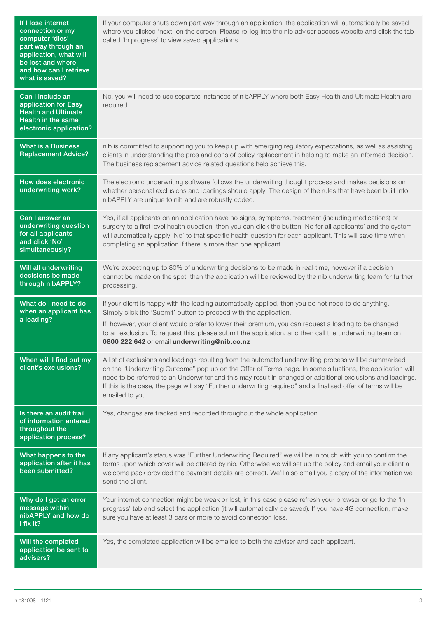| If I lose internet<br>connection or my<br>computer 'dies'<br>part way through an<br>application, what will<br>be lost and where<br>and how can I retrieve<br>what is saved? | If your computer shuts down part way through an application, the application will automatically be saved<br>where you clicked 'next' on the screen. Please re-log into the nib adviser access website and click the tab<br>called 'In progress' to view saved applications.                                                                                                                                                                                            |
|-----------------------------------------------------------------------------------------------------------------------------------------------------------------------------|------------------------------------------------------------------------------------------------------------------------------------------------------------------------------------------------------------------------------------------------------------------------------------------------------------------------------------------------------------------------------------------------------------------------------------------------------------------------|
| Can I include an<br>application for Easy<br><b>Health and Ultimate</b><br>Health in the same<br>electronic application?                                                     | No, you will need to use separate instances of nibAPPLY where both Easy Health and Ultimate Health are<br>required.                                                                                                                                                                                                                                                                                                                                                    |
| <b>What is a Business</b><br><b>Replacement Advice?</b>                                                                                                                     | nib is committed to supporting you to keep up with emerging regulatory expectations, as well as assisting<br>clients in understanding the pros and cons of policy replacement in helping to make an informed decision.<br>The business replacement advice related questions help achieve this.                                                                                                                                                                         |
| How does electronic<br>underwriting work?                                                                                                                                   | The electronic underwriting software follows the underwriting thought process and makes decisions on<br>whether personal exclusions and loadings should apply. The design of the rules that have been built into<br>nibAPPLY are unique to nib and are robustly coded.                                                                                                                                                                                                 |
| Can I answer an<br>underwriting question<br>for all applicants<br>and click 'No'<br>simultaneously?                                                                         | Yes, if all applicants on an application have no signs, symptoms, treatment (including medications) or<br>surgery to a first level health question, then you can click the button 'No for all applicants' and the system<br>will automatically apply 'No' to that specific health question for each applicant. This will save time when<br>completing an application if there is more than one applicant.                                                              |
| Will all underwriting<br>decisions be made<br>through nibAPPLY?                                                                                                             | We're expecting up to 80% of underwriting decisions to be made in real-time, however if a decision<br>cannot be made on the spot, then the application will be reviewed by the nib underwriting team for further<br>processing.                                                                                                                                                                                                                                        |
| What do I need to do<br>when an applicant has<br>a loading?                                                                                                                 | If your client is happy with the loading automatically applied, then you do not need to do anything.<br>Simply click the 'Submit' button to proceed with the application.<br>If, however, your client would prefer to lower their premium, you can request a loading to be changed<br>to an exclusion. To request this, please submit the application, and then call the underwriting team on<br>0800 222 642 or email underwriting@nib.co.nz                          |
| When will I find out my<br>client's exclusions?                                                                                                                             | A list of exclusions and loadings resulting from the automated underwriting process will be summarised<br>on the "Underwriting Outcome" pop up on the Offer of Terms page. In some situations, the application will<br>need to be referred to an Underwriter and this may result in changed or additional exclusions and loadings.<br>If this is the case, the page will say "Further underwriting required" and a finalised offer of terms will be<br>emailed to you. |
| Is there an audit trail<br>of information entered<br>throughout the<br>application process?                                                                                 | Yes, changes are tracked and recorded throughout the whole application.                                                                                                                                                                                                                                                                                                                                                                                                |
| What happens to the<br>application after it has<br>been submitted?                                                                                                          | If any applicant's status was "Further Underwriting Required" we will be in touch with you to confirm the<br>terms upon which cover will be offered by nib. Otherwise we will set up the policy and email your client a<br>welcome pack provided the payment details are correct. We'll also email you a copy of the information we<br>send the client.                                                                                                                |
| Why do I get an error<br>message within<br>nibAPPLY and how do<br>I fix it?                                                                                                 | Your internet connection might be weak or lost, in this case please refresh your browser or go to the 'In<br>progress' tab and select the application (it will automatically be saved). If you have 4G connection, make<br>sure you have at least 3 bars or more to avoid connection loss.                                                                                                                                                                             |
| Will the completed<br>application be sent to<br>advisers?                                                                                                                   | Yes, the completed application will be emailed to both the adviser and each applicant.                                                                                                                                                                                                                                                                                                                                                                                 |